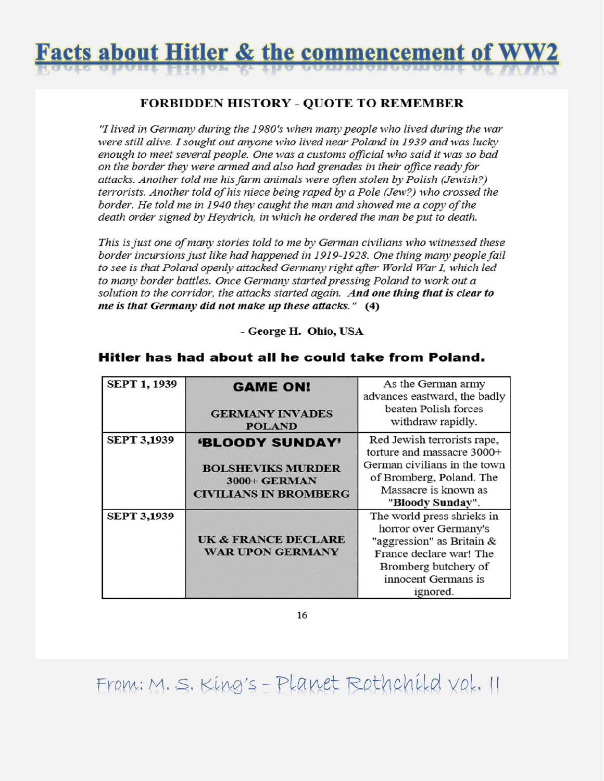

#### **FORBIDDEN HISTORY - QUOTE TO REMEMBER**

"I lived in Germany during the 1980's when many people who lived during the war were still alive. I sought out anyone who lived near Poland in 1939 and was lucky enough to meet several people. One was a customs official who said it was so bad on the border they were armed and also had grenades in their office ready for attacks. Another told me his farm animals were often stolen by Polish (Jewish?) terrorists. Another told of his niece being raped by a Pole (Jew?) who crossed the border. He told me in 1940 they caught the man and showed me a copy of the death order signed by Heydrich, in which he ordered the man be put to death.

This is just one of many stories told to me by German civilians who witnessed these border incursions just like had happened in 1919-1928. One thing many people fail to see is that Poland openly attacked Germany right after World War I, which led to many border battles. Once Germany started pressing Poland to work out a solution to the corridor, the attacks started again. And one thing that is clear to me is that Germany did not make up these attacks." (4)

- George H. Ohio, USA

| <b>SEPT 1, 1939</b> | <b>GAME ON!</b>                         | As the German army                        |
|---------------------|-----------------------------------------|-------------------------------------------|
|                     |                                         | advances eastward, the badly              |
|                     | <b>GERMANY INVADES</b><br><b>POLAND</b> | beaten Polish forces<br>withdraw rapidly. |
| <b>SEPT 3,1939</b>  | <b>'BLOODY SUNDAY'</b>                  | Red Jewish terrorists rape,               |
|                     |                                         | torture and massacre 3000+                |
|                     | <b>BOLSHEVIKS MURDER</b>                | German civilians in the town              |
|                     | 3000+ GERMAN                            | of Bromberg, Poland. The                  |
|                     | <b>CIVILIANS IN BROMBERG</b>            | Massacre is known as                      |
|                     |                                         | "Bloody Sunday".                          |
| <b>SEPT 3,1939</b>  |                                         | The world press shrieks in                |
|                     |                                         | horror over Germany's                     |
|                     | <b>UK &amp; FRANCE DECLARE</b>          | "aggression" as Britain $\&$              |
|                     | <b>WAR UPON GERMANY</b>                 | France declare war! The                   |
|                     |                                         | Bromberg butchery of                      |
|                     |                                         | innocent Germans is                       |
|                     |                                         | ignored.                                  |

#### Hitler has had about all he could take from Poland.

16

Franc: M. S. King's - Planet Rothchild Vol. II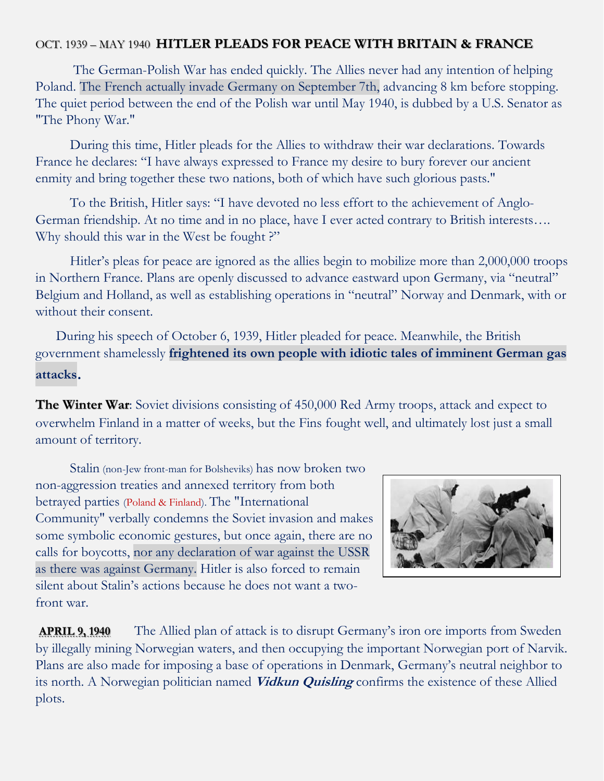#### OCT. 1939 – MAY 1940 **HITLER PLEADS FOR PEACE WITH BRITAIN & FRANCE**

 The German-Polish War has ended quickly. The Allies never had any intention of helping Poland. The French actually invade Germany on September 7th, advancing 8 km before stopping. The quiet period between the end of the Polish war until May 1940, is dubbed by a U.S. Senator as "The Phony War."

 During this time, Hitler pleads for the Allies to withdraw their war declarations. Towards France he declares: "I have always expressed to France my desire to bury forever our ancient enmity and bring together these two nations, both of which have such glorious pasts."

 To the British, Hitler says: "I have devoted no less effort to the achievement of Anglo-German friendship. At no time and in no place, have I ever acted contrary to British interests…. Why should this war in the West be fought ?"

 Hitler's pleas for peace are ignored as the allies begin to mobilize more than 2,000,000 troops in Northern France. Plans are openly discussed to advance eastward upon Germany, via "neutral" Belgium and Holland, as well as establishing operations in "neutral" Norway and Denmark, with or without their consent.

 During his speech of October 6, 1939, Hitler pleaded for peace. Meanwhile, the British government shamelessly **frightened its own people with idiotic tales of imminent German gas attacks**.

**The Winter War**: Soviet divisions consisting of 450,000 Red Army troops, attack and expect to overwhelm Finland in a matter of weeks, but the Fins fought well, and ultimately lost just a small amount of territory.

 Stalin (non-Jew front-man for Bolsheviks) has now broken two non-aggression treaties and annexed territory from both betrayed parties (Poland & Finland). The "International Community" verbally condemns the Soviet invasion and makes some symbolic economic gestures, but once again, there are no calls for boycotts, nor any declaration of war against the USSR as there was against Germany. Hitler is also forced to remain silent about Stalin's actions because he does not want a twofront war.



**APRIL 9, 1940** The Allied plan of attack is to disrupt Germany's iron ore imports from Sweden by illegally mining Norwegian waters, and then occupying the important Norwegian port of Narvik. Plans are also made for imposing a base of operations in Denmark, Germany's neutral neighbor to its north. A Norwegian politician named **Vidkun Quisling** confirms the existence of these Allied plots.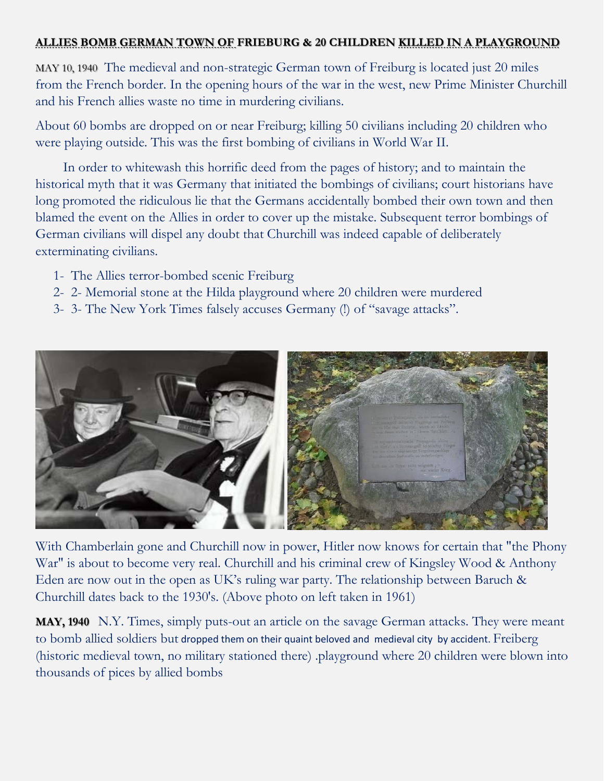#### **ALLIES BOMB GERMAN TOWN OF FRIEBURG & 20 CHILDREN KILLED IN A PLAYGROUND**

MAY 10, 1940 The medieval and non-strategic German town of Freiburg is located just 20 miles from the French border. In the opening hours of the war in the west, new Prime Minister Churchill and his French allies waste no time in murdering civilians.

About 60 bombs are dropped on or near Freiburg; killing 50 civilians including 20 children who were playing outside. This was the first bombing of civilians in World War II.

 In order to whitewash this horrific deed from the pages of history; and to maintain the historical myth that it was Germany that initiated the bombings of civilians; court historians have long promoted the ridiculous lie that the Germans accidentally bombed their own town and then blamed the event on the Allies in order to cover up the mistake. Subsequent terror bombings of German civilians will dispel any doubt that Churchill was indeed capable of deliberately exterminating civilians.

- 1- The Allies terror-bombed scenic Freiburg
- 2- 2- Memorial stone at the Hilda playground where 20 children were murdered
- 3- 3- The New York Times falsely accuses Germany (!) of "savage attacks".



With Chamberlain gone and Churchill now in power, Hitler now knows for certain that "the Phony War" is about to become very real. Churchill and his criminal crew of Kingsley Wood & Anthony Eden are now out in the open as UK's ruling war party. The relationship between Baruch & Churchill dates back to the 1930's. (Above photo on left taken in 1961)

**MAY, 1940** N.Y. Times, simply puts-out an article on the savage German attacks. They were meant to bomb allied soldiers but dropped them on their quaint beloved and medieval city by accident. Freiberg (historic medieval town, no military stationed there) .playground where 20 children were blown into thousands of pices by allied bombs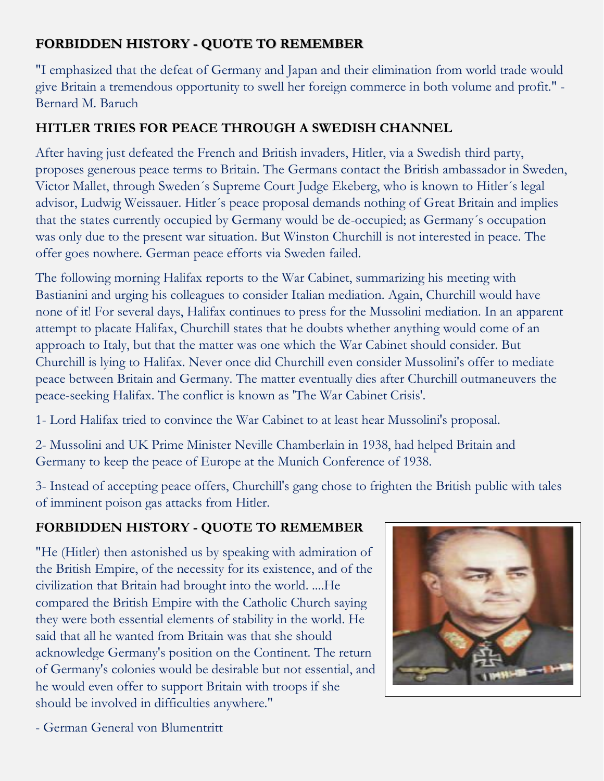# **FORBIDDEN HISTORY - QUOTE TO REMEMBER**

"I emphasized that the defeat of Germany and Japan and their elimination from world trade would give Britain a tremendous opportunity to swell her foreign commerce in both volume and profit." - Bernard M. Baruch

### **HITLER TRIES FOR PEACE THROUGH A SWEDISH CHANNEL**

After having just defeated the French and British invaders, Hitler, via a Swedish third party, proposes generous peace terms to Britain. The Germans contact the British ambassador in Sweden, Victor Mallet, through Sweden´s Supreme Court Judge Ekeberg, who is known to Hitler´s legal advisor, Ludwig Weissauer. Hitler´s peace proposal demands nothing of Great Britain and implies that the states currently occupied by Germany would be de-occupied; as Germany´s occupation was only due to the present war situation. But Winston Churchill is not interested in peace. The offer goes nowhere. German peace efforts via Sweden failed.

The following morning Halifax reports to the War Cabinet, summarizing his meeting with Bastianini and urging his colleagues to consider Italian mediation. Again, Churchill would have none of it! For several days, Halifax continues to press for the Mussolini mediation. In an apparent attempt to placate Halifax, Churchill states that he doubts whether anything would come of an approach to Italy, but that the matter was one which the War Cabinet should consider. But Churchill is lying to Halifax. Never once did Churchill even consider Mussolini's offer to mediate peace between Britain and Germany. The matter eventually dies after Churchill outmaneuvers the peace-seeking Halifax. The conflict is known as 'The War Cabinet Crisis'.

1- Lord Halifax tried to convince the War Cabinet to at least hear Mussolini's proposal.

2- Mussolini and UK Prime Minister Neville Chamberlain in 1938, had helped Britain and Germany to keep the peace of Europe at the Munich Conference of 1938.

3- Instead of accepting peace offers, Churchill's gang chose to frighten the British public with tales of imminent poison gas attacks from Hitler.

# **FORBIDDEN HISTORY - QUOTE TO REMEMBER**

"He (Hitler) then astonished us by speaking with admiration of the British Empire, of the necessity for its existence, and of the civilization that Britain had brought into the world. ....He compared the British Empire with the Catholic Church saying they were both essential elements of stability in the world. He said that all he wanted from Britain was that she should acknowledge Germany's position on the Continent. The return of Germany's colonies would be desirable but not essential, and he would even offer to support Britain with troops if she should be involved in difficulties anywhere."



- German General von Blumentritt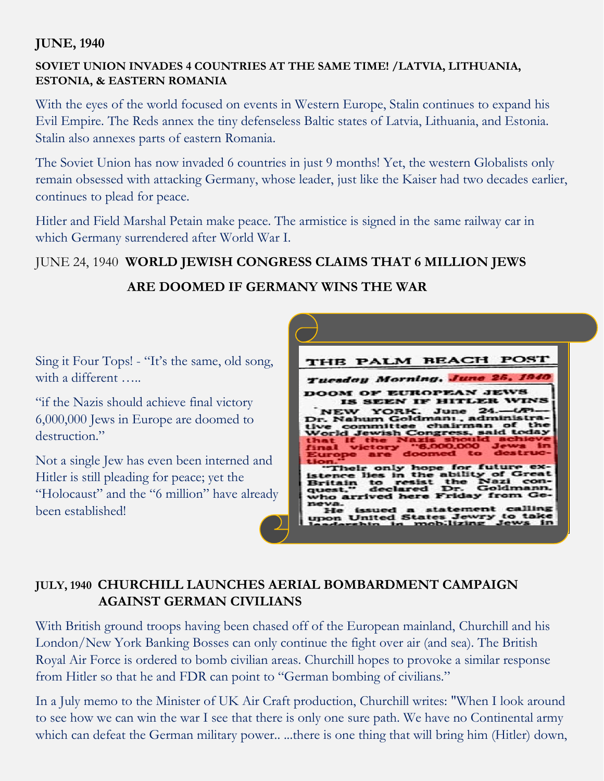### **JUNE, 1940**

### **SOVIET UNION INVADES 4 COUNTRIES AT THE SAME TIME! /LATVIA, LITHUANIA, ESTONIA, & EASTERN ROMANIA**

With the eyes of the world focused on events in Western Europe, Stalin continues to expand his Evil Empire. The Reds annex the tiny defenseless Baltic states of Latvia, Lithuania, and Estonia. Stalin also annexes parts of eastern Romania.

The Soviet Union has now invaded 6 countries in just 9 months! Yet, the western Globalists only remain obsessed with attacking Germany, whose leader, just like the Kaiser had two decades earlier, continues to plead for peace.

Hitler and Field Marshal Petain make peace. The armistice is signed in the same railway car in which Germany surrendered after World War I.

### JUNE 24, 1940 **WORLD JEWISH CONGRESS CLAIMS THAT 6 MILLION JEWS**

### **ARE DOOMED IF GERMANY WINS THE WAR**

Sing it Four Tops! - "It's the same, old song, with a different .....

"if the Nazis should achieve final victory 6,000,000 Jews in Europe are doomed to destruction."

Not a single Jew has even been interned and Hitler is still pleading for peace; yet the "Holocaust" and the "6 million" have already been established!



# **JULY, 1940 CHURCHILL LAUNCHES AERIAL BOMBARDMENT CAMPAIGN AGAINST GERMAN CIVILIANS**

With British ground troops having been chased off of the European mainland, Churchill and his London/New York Banking Bosses can only continue the fight over air (and sea). The British Royal Air Force is ordered to bomb civilian areas. Churchill hopes to provoke a similar response from Hitler so that he and FDR can point to "German bombing of civilians."

In a July memo to the Minister of UK Air Craft production, Churchill writes: "When I look around to see how we can win the war I see that there is only one sure path. We have no Continental army which can defeat the German military power... ...there is one thing that will bring him (Hitler) down,